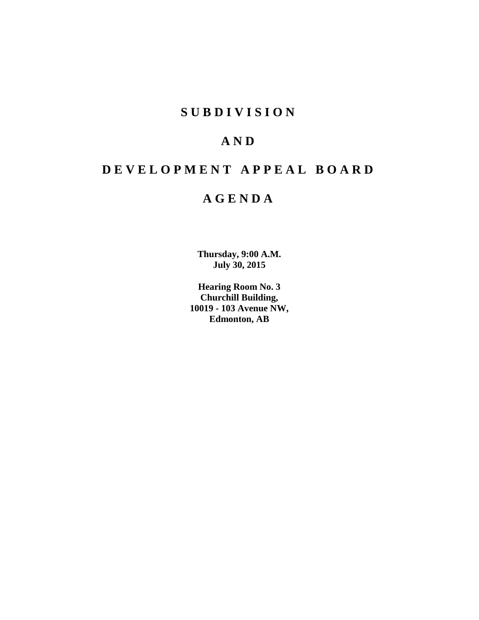# **S U B D I V I S I O N**

# **A N D**

# **D E V E L O P M E N T A P P E A L B O A R D**

# **A G E N D A**

**Thursday, 9:00 A.M. July 30, 2015**

**Hearing Room No. 3 Churchill Building, 10019 - 103 Avenue NW, Edmonton, AB**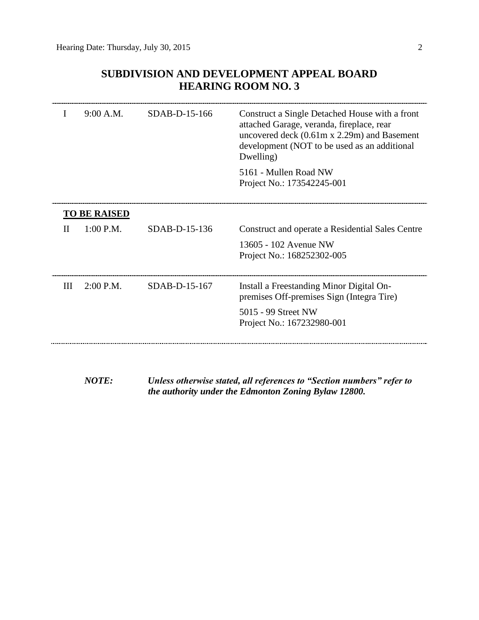## **SUBDIVISION AND DEVELOPMENT APPEAL BOARD HEARING ROOM NO. 3**

|   | 9:00 A.M.           | SDAB-D-15-166   | Construct a Single Detached House with a front<br>attached Garage, veranda, fireplace, rear<br>uncovered deck $(0.61m \times 2.29m)$ and Basement<br>development (NOT to be used as an additional<br>Dwelling)<br>5161 - Mullen Road NW<br>Project No.: 173542245-001 |
|---|---------------------|-----------------|-----------------------------------------------------------------------------------------------------------------------------------------------------------------------------------------------------------------------------------------------------------------------|
|   | <b>TO BE RAISED</b> |                 |                                                                                                                                                                                                                                                                       |
| Н | $1:00$ P.M.         | SDAB-D-15-136   | Construct and operate a Residential Sales Centre                                                                                                                                                                                                                      |
|   |                     |                 | 13605 - 102 Avenue NW<br>Project No.: 168252302-005                                                                                                                                                                                                                   |
| Ш | $2:00$ P.M.         | $SDAB-D-15-167$ | Install a Freestanding Minor Digital On-<br>premises Off-premises Sign (Integra Tire)                                                                                                                                                                                 |
|   |                     |                 | 5015 - 99 Street NW<br>Project No.: 167232980-001                                                                                                                                                                                                                     |
|   |                     |                 |                                                                                                                                                                                                                                                                       |

*NOTE: Unless otherwise stated, all references to "Section numbers" refer to the authority under the Edmonton Zoning Bylaw 12800.*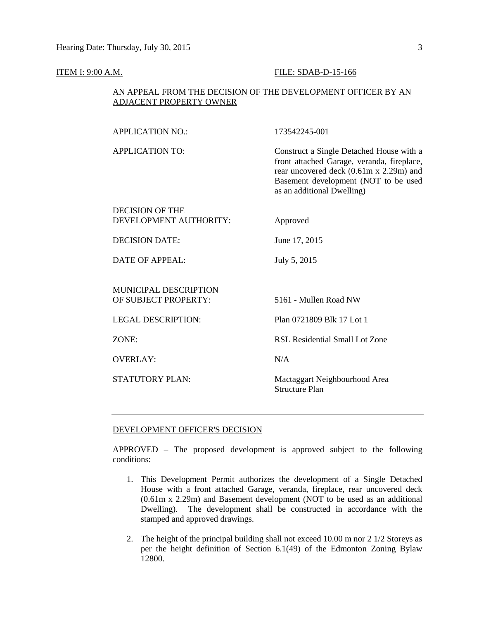#### **ITEM I: 9:00 A.M. FILE: SDAB-D-15-166**

#### AN APPEAL FROM THE DECISION OF THE DEVELOPMENT OFFICER BY AN ADJACENT PROPERTY OWNER

APPLICATION TO: Construct a Single Detached House with a front attached Garage, veranda, fireplace, rear uncovered deck (0.61m x 2.29m) and Basement development (NOT to be used as an additional Dwelling)

#### DECISION OF THE DEVELOPMENT AUTHORITY: Approved

DECISION DATE: June 17, 2015

DATE OF APPEAL: July 5, 2015

### MUNICIPAL DESCRIPTION OF SUBJECT PROPERTY: 5161 - Mullen Road NW

OVERLAY: N/A

LEGAL DESCRIPTION: Plan 0721809 Blk 17 Lot 1

ZONE: RSL Residential Small Lot Zone

STATUTORY PLAN: Mactaggart Neighbourhood Area Structure Plan

#### DEVELOPMENT OFFICER'S DECISION

APPROVED – The proposed development is approved subject to the following conditions:

- 1. This Development Permit authorizes the development of a Single Detached House with a front attached Garage, veranda, fireplace, rear uncovered deck (0.61m x 2.29m) and Basement development (NOT to be used as an additional Dwelling). The development shall be constructed in accordance with the stamped and approved drawings.
- 2. The height of the principal building shall not exceed 10.00 m nor 2 1/2 Storeys as per the height definition of Section 6.1(49) of the Edmonton Zoning Bylaw 12800.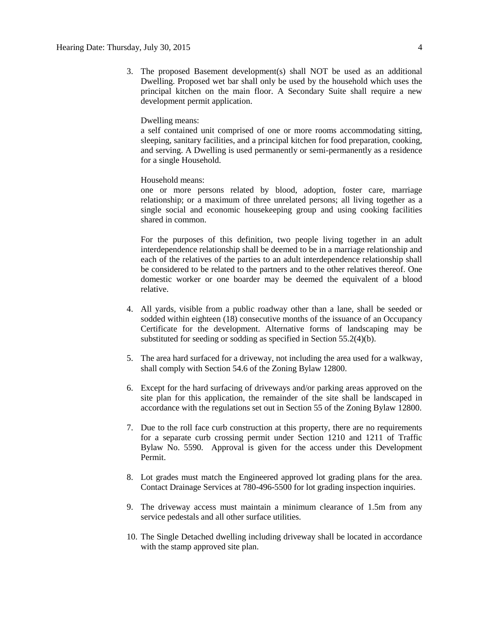3. The proposed Basement development(s) shall NOT be used as an additional Dwelling. Proposed wet bar shall only be used by the household which uses the principal kitchen on the main floor. A Secondary Suite shall require a new development permit application.

#### Dwelling means:

a self contained unit comprised of one or more rooms accommodating sitting, sleeping, sanitary facilities, and a principal kitchen for food preparation, cooking, and serving. A Dwelling is used permanently or semi-permanently as a residence for a single Household.

#### Household means:

one or more persons related by blood, adoption, foster care, marriage relationship; or a maximum of three unrelated persons; all living together as a single social and economic housekeeping group and using cooking facilities shared in common.

For the purposes of this definition, two people living together in an adult interdependence relationship shall be deemed to be in a marriage relationship and each of the relatives of the parties to an adult interdependence relationship shall be considered to be related to the partners and to the other relatives thereof. One domestic worker or one boarder may be deemed the equivalent of a blood relative.

- 4. All yards, visible from a public roadway other than a lane, shall be seeded or sodded within eighteen (18) consecutive months of the issuance of an Occupancy Certificate for the development. Alternative forms of landscaping may be substituted for seeding or sodding as specified in Section 55.2(4)(b).
- 5. The area hard surfaced for a driveway, not including the area used for a walkway, shall comply with Section 54.6 of the Zoning Bylaw 12800.
- 6. Except for the hard surfacing of driveways and/or parking areas approved on the site plan for this application, the remainder of the site shall be landscaped in accordance with the regulations set out in Section 55 of the Zoning Bylaw 12800.
- 7. Due to the roll face curb construction at this property, there are no requirements for a separate curb crossing permit under Section 1210 and 1211 of Traffic Bylaw No. 5590. Approval is given for the access under this Development Permit.
- 8. Lot grades must match the Engineered approved lot grading plans for the area. Contact Drainage Services at 780-496-5500 for lot grading inspection inquiries.
- 9. The driveway access must maintain a minimum clearance of 1.5m from any service pedestals and all other surface utilities.
- 10. The Single Detached dwelling including driveway shall be located in accordance with the stamp approved site plan.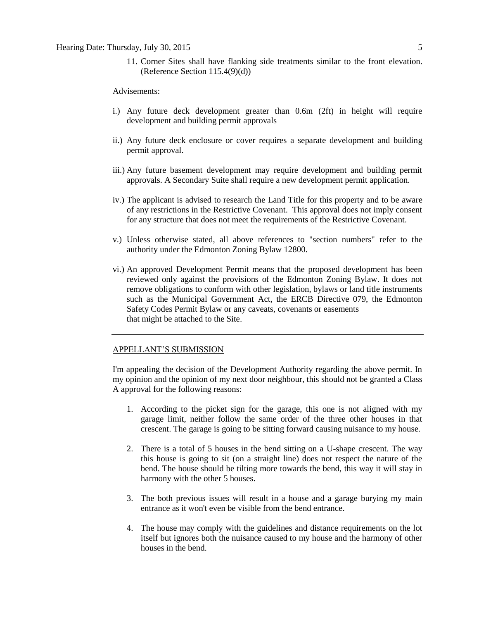11. Corner Sites shall have flanking side treatments similar to the front elevation. (Reference Section 115.4(9)(d))

Advisements:

- i.) Any future deck development greater than 0.6m (2ft) in height will require development and building permit approvals
- ii.) Any future deck enclosure or cover requires a separate development and building permit approval.
- iii.) Any future basement development may require development and building permit approvals. A Secondary Suite shall require a new development permit application.
- iv.) The applicant is advised to research the Land Title for this property and to be aware of any restrictions in the Restrictive Covenant. This approval does not imply consent for any structure that does not meet the requirements of the Restrictive Covenant.
- v.) Unless otherwise stated, all above references to "section numbers" refer to the authority under the Edmonton Zoning Bylaw 12800.
- vi.) An approved Development Permit means that the proposed development has been reviewed only against the provisions of the Edmonton Zoning Bylaw. It does not remove obligations to conform with other legislation, bylaws or land title instruments such as the Municipal Government Act, the ERCB Directive 079, the Edmonton Safety Codes Permit Bylaw or any caveats, covenants or easements that might be attached to the Site.

#### APPELLANT'S SUBMISSION

I'm appealing the decision of the Development Authority regarding the above permit. In my opinion and the opinion of my next door neighbour, this should not be granted a Class A approval for the following reasons:

- 1. According to the picket sign for the garage, this one is not aligned with my garage limit, neither follow the same order of the three other houses in that crescent. The garage is going to be sitting forward causing nuisance to my house.
- 2. There is a total of 5 houses in the bend sitting on a U-shape crescent. The way this house is going to sit (on a straight line) does not respect the nature of the bend. The house should be tilting more towards the bend, this way it will stay in harmony with the other 5 houses.
- 3. The both previous issues will result in a house and a garage burying my main entrance as it won't even be visible from the bend entrance.
- 4. The house may comply with the guidelines and distance requirements on the lot itself but ignores both the nuisance caused to my house and the harmony of other houses in the bend.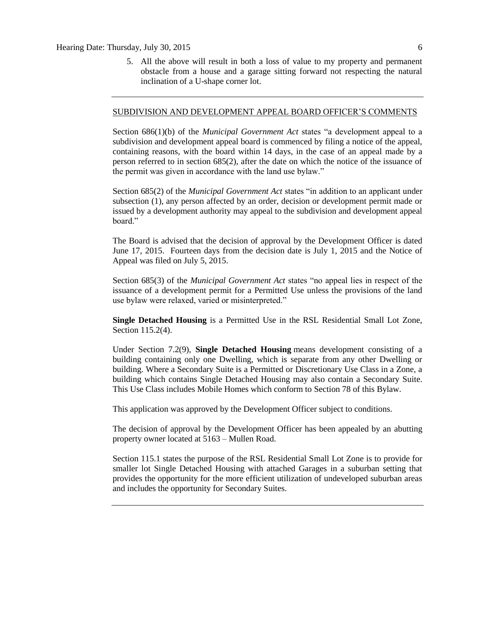5. All the above will result in both a loss of value to my property and permanent obstacle from a house and a garage sitting forward not respecting the natural inclination of a U-shape corner lot.

#### SUBDIVISION AND DEVELOPMENT APPEAL BOARD OFFICER'S COMMENTS

Section 686(1)(b) of the *Municipal Government Act* states "a development appeal to a subdivision and development appeal board is commenced by filing a notice of the appeal, containing reasons, with the board within 14 days, in the case of an appeal made by a person referred to in section 685(2), after the date on which the notice of the issuance of the permit was given in accordance with the land use bylaw."

Section 685(2) of the *Municipal Government Act* states "in addition to an applicant under subsection (1), any person affected by an order, decision or development permit made or issued by a development authority may appeal to the subdivision and development appeal board."

The Board is advised that the decision of approval by the Development Officer is dated June 17, 2015. Fourteen days from the decision date is July 1, 2015 and the Notice of Appeal was filed on July 5, 2015.

Section 685(3) of the *Municipal Government Act* states "no appeal lies in respect of the issuance of a development permit for a Permitted Use unless the provisions of the land use bylaw were relaxed, varied or misinterpreted."

**Single Detached Housing** is a Permitted Use in the RSL Residential Small Lot Zone, Section 115.2(4).

Under Section 7.2(9), **Single Detached Housing** means development consisting of a building containing only one Dwelling, which is separate from any other Dwelling or building. Where a Secondary Suite is a Permitted or Discretionary Use Class in a Zone, a building which contains Single Detached Housing may also contain a Secondary Suite. This Use Class includes Mobile Homes which conform to [Section 78](http://webdocs.edmonton.ca/zoningbylaw/ZoningBylaw/Part1/Special_Land/78__Mobile_Homes.htm) of this Bylaw.

This application was approved by the Development Officer subject to conditions.

The decision of approval by the Development Officer has been appealed by an abutting property owner located at 5163 – Mullen Road.

Section 115.1 states the purpose of the RSL Residential Small Lot Zone is to provide for smaller lot Single Detached Housing with attached Garages in a suburban setting that provides the opportunity for the more efficient utilization of undeveloped suburban areas and includes the opportunity for Secondary Suites.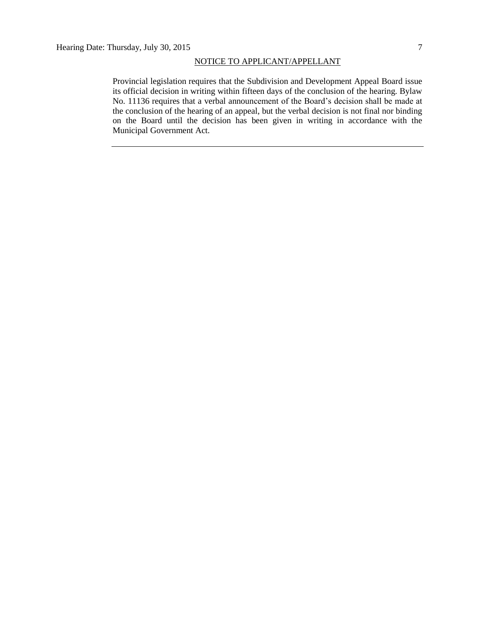#### NOTICE TO APPLICANT/APPELLANT

Provincial legislation requires that the Subdivision and Development Appeal Board issue its official decision in writing within fifteen days of the conclusion of the hearing. Bylaw No. 11136 requires that a verbal announcement of the Board's decision shall be made at the conclusion of the hearing of an appeal, but the verbal decision is not final nor binding on the Board until the decision has been given in writing in accordance with the Municipal Government Act.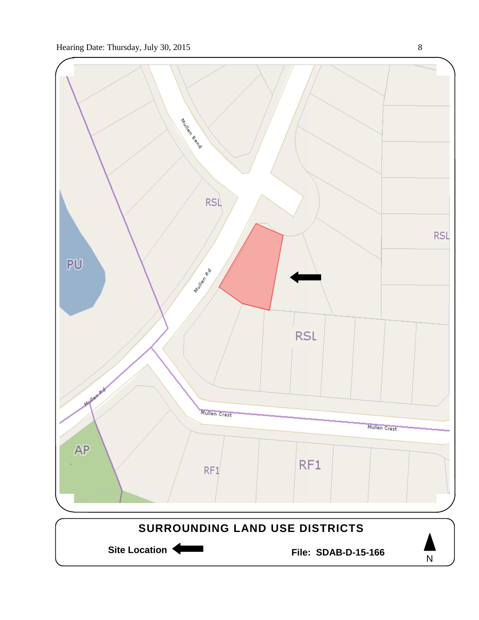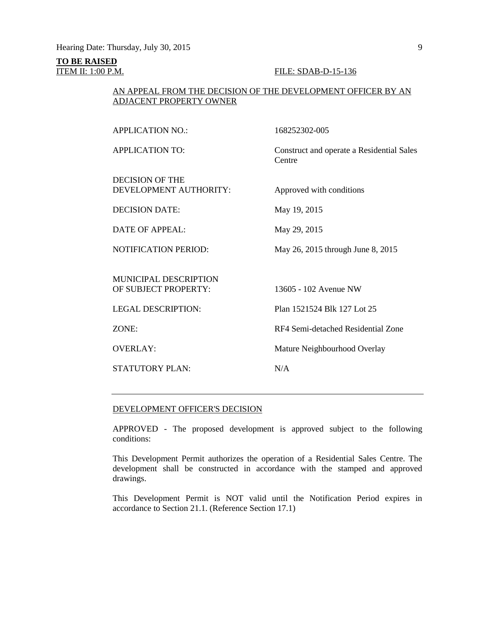# **TO BE RAISED**

#### **ITEM II: 1:00 P.M. FILE: SDAB-D-15-136**

#### AN APPEAL FROM THE DECISION OF THE DEVELOPMENT OFFICER BY AN ADJACENT PROPERTY OWNER

APPLICATION NO.: 168252302-005 APPLICATION TO: Construct and operate a Residential Sales Centre DECISION OF THE DEVELOPMENT AUTHORITY: Approved with conditions DECISION DATE: May 19, 2015 DATE OF APPEAL: May 29, 2015 NOTIFICATION PERIOD: May 26, 2015 through June 8, 2015 MUNICIPAL DESCRIPTION OF SUBJECT PROPERTY: 13605 - 102 Avenue NW LEGAL DESCRIPTION: Plan 1521524 Blk 127 Lot 25 ZONE: RF4 Semi-detached Residential Zone OVERLAY: Mature Neighbourhood Overlay STATUTORY PLAN: N/A

#### DEVELOPMENT OFFICER'S DECISION

APPROVED - The proposed development is approved subject to the following conditions:

This Development Permit authorizes the operation of a Residential Sales Centre. The development shall be constructed in accordance with the stamped and approved drawings.

This Development Permit is NOT valid until the Notification Period expires in accordance to Section 21.1. (Reference Section 17.1)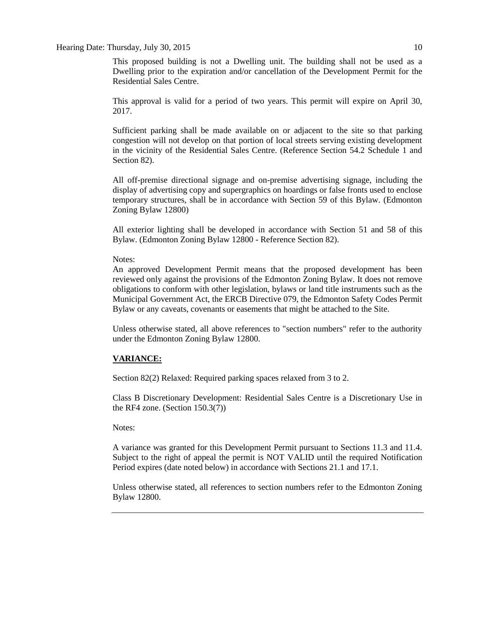#### Hearing Date: Thursday, July 30, 2015 10

This proposed building is not a Dwelling unit. The building shall not be used as a Dwelling prior to the expiration and/or cancellation of the Development Permit for the Residential Sales Centre.

This approval is valid for a period of two years. This permit will expire on April 30, 2017.

Sufficient parking shall be made available on or adjacent to the site so that parking congestion will not develop on that portion of local streets serving existing development in the vicinity of the Residential Sales Centre. (Reference Section 54.2 Schedule 1 and Section 82).

All off-premise directional signage and on-premise advertising signage, including the display of advertising copy and supergraphics on hoardings or false fronts used to enclose temporary structures, shall be in accordance with Section 59 of this Bylaw. (Edmonton Zoning Bylaw 12800)

All exterior lighting shall be developed in accordance with Section 51 and 58 of this Bylaw. (Edmonton Zoning Bylaw 12800 - Reference Section 82).

#### Notes:

An approved Development Permit means that the proposed development has been reviewed only against the provisions of the Edmonton Zoning Bylaw. It does not remove obligations to conform with other legislation, bylaws or land title instruments such as the Municipal Government Act, the ERCB Directive 079, the Edmonton Safety Codes Permit Bylaw or any caveats, covenants or easements that might be attached to the Site.

Unless otherwise stated, all above references to "section numbers" refer to the authority under the Edmonton Zoning Bylaw 12800.

### **VARIANCE:**

Section 82(2) Relaxed: Required parking spaces relaxed from 3 to 2.

Class B Discretionary Development: Residential Sales Centre is a Discretionary Use in the RF4 zone. (Section 150.3(7))

#### Notes:

A variance was granted for this Development Permit pursuant to Sections 11.3 and 11.4. Subject to the right of appeal the permit is NOT VALID until the required Notification Period expires (date noted below) in accordance with Sections 21.1 and 17.1.

Unless otherwise stated, all references to section numbers refer to the Edmonton Zoning Bylaw 12800.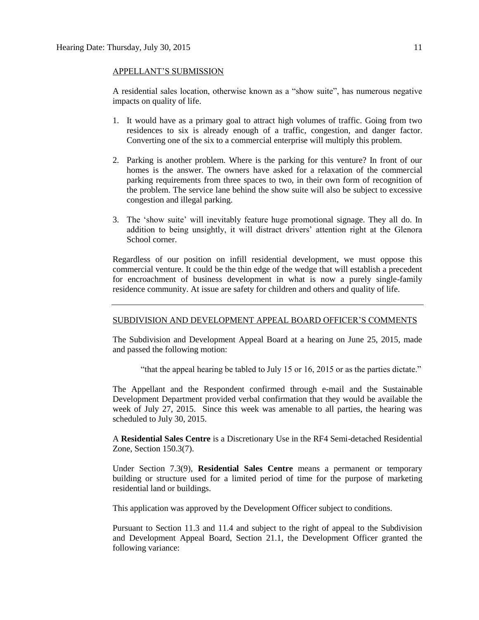#### APPELLANT'S SUBMISSION

A residential sales location, otherwise known as a "show suite", has numerous negative impacts on quality of life.

- 1. It would have as a primary goal to attract high volumes of traffic. Going from two residences to six is already enough of a traffic, congestion, and danger factor. Converting one of the six to a commercial enterprise will multiply this problem.
- 2. Parking is another problem. Where is the parking for this venture? In front of our homes is the answer. The owners have asked for a relaxation of the commercial parking requirements from three spaces to two, in their own form of recognition of the problem. The service lane behind the show suite will also be subject to excessive congestion and illegal parking.
- 3. The 'show suite' will inevitably feature huge promotional signage. They all do. In addition to being unsightly, it will distract drivers' attention right at the Glenora School corner.

Regardless of our position on infill residential development, we must oppose this commercial venture. It could be the thin edge of the wedge that will establish a precedent for encroachment of business development in what is now a purely single-family residence community. At issue are safety for children and others and quality of life.

#### SUBDIVISION AND DEVELOPMENT APPEAL BOARD OFFICER'S COMMENTS

The Subdivision and Development Appeal Board at a hearing on June 25, 2015, made and passed the following motion:

"that the appeal hearing be tabled to July 15 or 16, 2015 or as the parties dictate."

The Appellant and the Respondent confirmed through e-mail and the Sustainable Development Department provided verbal confirmation that they would be available the week of July 27, 2015. Since this week was amenable to all parties, the hearing was scheduled to July 30, 2015.

A **Residential Sales Centre** is a Discretionary Use in the RF4 Semi-detached Residential Zone, Section 150.3(7).

Under Section 7.3(9), **Residential Sales Centre** means a permanent or temporary building or structure used for a limited period of time for the purpose of marketing residential land or buildings.

This application was approved by the Development Officer subject to conditions.

Pursuant to Section 11.3 and 11.4 and subject to the right of appeal to the Subdivision and Development Appeal Board, Section 21.1, the Development Officer granted the following variance: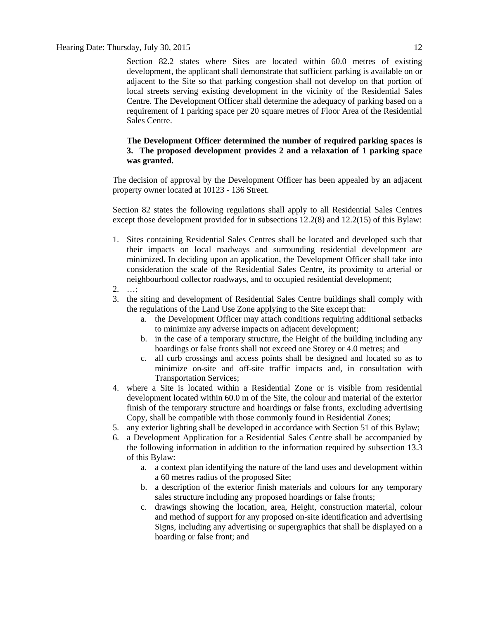Section 82.2 states where Sites are located within 60.0 metres of existing development, the applicant shall demonstrate that sufficient parking is available on or adjacent to the Site so that parking congestion shall not develop on that portion of local streets serving existing development in the vicinity of the Residential Sales Centre. The Development Officer shall determine the adequacy of parking based on a requirement of 1 parking space per 20 square metres of Floor Area of the Residential Sales Centre.

#### **The Development Officer determined the number of required parking spaces is 3. The proposed development provides 2 and a relaxation of 1 parking space was granted.**

The decision of approval by the Development Officer has been appealed by an adjacent property owner located at 10123 - 136 Street.

Section 82 states the following regulations shall apply to all Residential Sales Centres except those development provided for in subsections 12.2(8) and 12.2(15) of this Bylaw:

- 1. Sites containing Residential Sales Centres shall be located and developed such that their impacts on local roadways and surrounding residential development are minimized. In deciding upon an application, the Development Officer shall take into consideration the scale of the Residential Sales Centre, its proximity to arterial or neighbourhood collector roadways, and to occupied residential development;
- 2. …;
- 3. the siting and development of Residential Sales Centre buildings shall comply with the regulations of the Land Use Zone applying to the Site except that:
	- a. the Development Officer may attach conditions requiring additional setbacks to minimize any adverse impacts on adjacent development;
	- b. in the case of a temporary structure, the Height of the building including any hoardings or false fronts shall not exceed one Storey or 4.0 metres; and
	- c. all curb crossings and access points shall be designed and located so as to minimize on-site and off-site traffic impacts and, in consultation with Transportation Services;
- 4. where a Site is located within a Residential Zone or is visible from residential development located within 60.0 m of the Site, the colour and material of the exterior finish of the temporary structure and hoardings or false fronts, excluding advertising Copy, shall be compatible with those commonly found in Residential Zones;
- 5. any exterior lighting shall be developed in accordance with [Section 51](javascript:void(0);) of this Bylaw;
- 6. a Development Application for a Residential Sales Centre shall be accompanied by the following information in addition to the information required by [subsection 13.3](http://webdocs.edmonton.ca/InfraPlan/zoningbylaw/ZoningBylaw/Part1/Administrative/13__Development_Application_Submissions.htm) of this Bylaw:
	- a. a context plan identifying the nature of the land uses and development within a 60 metres radius of the proposed Site;
	- b. a description of the exterior finish materials and colours for any temporary sales structure including any proposed hoardings or false fronts;
	- c. drawings showing the location, area, Height, construction material, colour and method of support for any proposed on-site identification and advertising Signs, including any advertising or supergraphics that shall be displayed on a hoarding or false front; and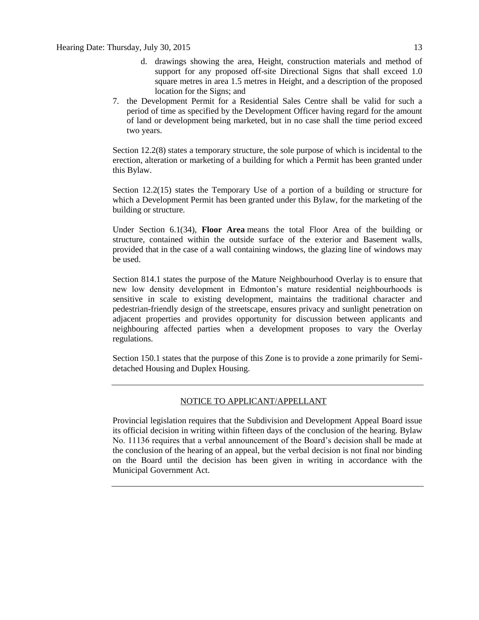- d. drawings showing the area, Height, construction materials and method of support for any proposed off-site Directional Signs that shall exceed 1.0 square metres in area 1.5 metres in Height, and a description of the proposed location for the Signs; and
- 7. the Development Permit for a Residential Sales Centre shall be valid for such a period of time as specified by the Development Officer having regard for the amount of land or development being marketed, but in no case shall the time period exceed two years.

Section 12.2(8) states a temporary structure, the sole purpose of which is incidental to the erection, alteration or marketing of a building for which a Permit has been granted under this Bylaw.

Section 12.2(15) states the Temporary Use of a portion of a building or structure for which a Development Permit has been granted under this Bylaw, for the marketing of the building or structure.

Under Section 6.1(34), **Floor Area** means the total Floor Area of the building or structure, contained within the outside surface of the exterior and Basement walls, provided that in the case of a wall containing windows, the glazing line of windows may be used.

Section 814.1 states the purpose of the Mature Neighbourhood Overlay is to ensure that new low density development in Edmonton's mature residential neighbourhoods is sensitive in scale to existing development, maintains the traditional character and pedestrian-friendly design of the streetscape, ensures privacy and sunlight penetration on adjacent properties and provides opportunity for discussion between applicants and neighbouring affected parties when a development proposes to vary the Overlay regulations.

Section 150.1 states that the purpose of this Zone is to provide a zone primarily for Semidetached Housing and Duplex Housing.

### NOTICE TO APPLICANT/APPELLANT

Provincial legislation requires that the Subdivision and Development Appeal Board issue its official decision in writing within fifteen days of the conclusion of the hearing. Bylaw No. 11136 requires that a verbal announcement of the Board's decision shall be made at the conclusion of the hearing of an appeal, but the verbal decision is not final nor binding on the Board until the decision has been given in writing in accordance with the Municipal Government Act.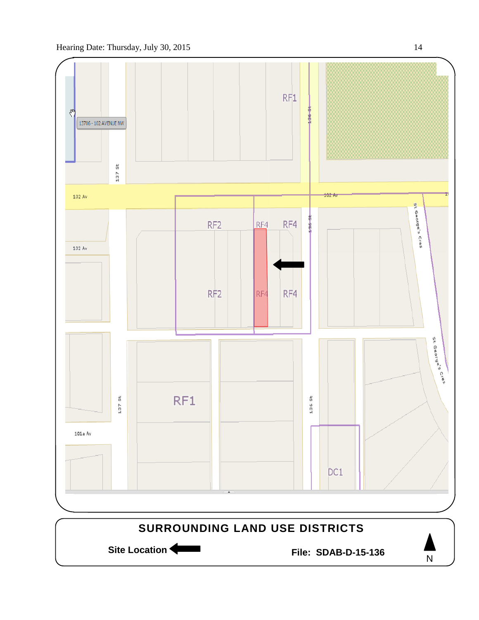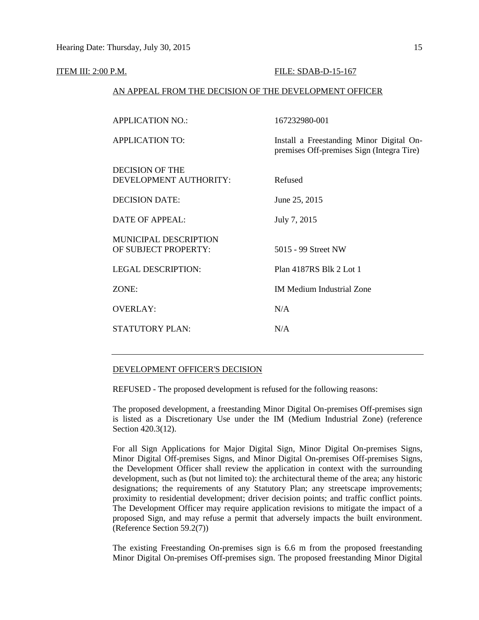#### ITEM III: 2:00 P.M. **FILE: SDAB-D-15-167**

#### AN APPEAL FROM THE DECISION OF THE DEVELOPMENT OFFICER

| 167232980-001                                                                         |
|---------------------------------------------------------------------------------------|
| Install a Freestanding Minor Digital On-<br>premises Off-premises Sign (Integra Tire) |
| Refused                                                                               |
| June 25, 2015                                                                         |
| July 7, 2015                                                                          |
| 5015 - 99 Street NW                                                                   |
| Plan 4187RS Blk 2 Lot 1                                                               |
| <b>IM Medium Industrial Zone</b>                                                      |
| N/A                                                                                   |
| N/A                                                                                   |
|                                                                                       |

#### DEVELOPMENT OFFICER'S DECISION

REFUSED - The proposed development is refused for the following reasons:

The proposed development, a freestanding Minor Digital On-premises Off-premises sign is listed as a Discretionary Use under the IM (Medium Industrial Zone) (reference Section 420.3(12).

For all Sign Applications for Major Digital Sign, Minor Digital On-premises Signs, Minor Digital Off-premises Signs, and Minor Digital On-premises Off-premises Signs, the Development Officer shall review the application in context with the surrounding development, such as (but not limited to): the architectural theme of the area; any historic designations; the requirements of any Statutory Plan; any streetscape improvements; proximity to residential development; driver decision points; and traffic conflict points. The Development Officer may require application revisions to mitigate the impact of a proposed Sign, and may refuse a permit that adversely impacts the built environment. (Reference Section 59.2(7))

The existing Freestanding On-premises sign is 6.6 m from the proposed freestanding Minor Digital On-premises Off-premises sign. The proposed freestanding Minor Digital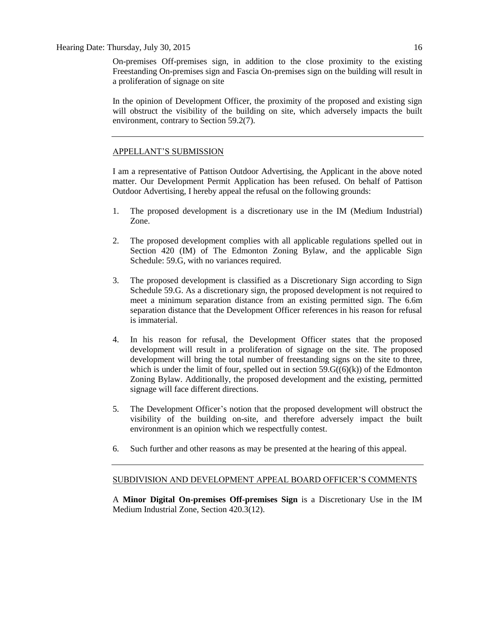On-premises Off-premises sign, in addition to the close proximity to the existing Freestanding On-premises sign and Fascia On-premises sign on the building will result in a proliferation of signage on site

In the opinion of Development Officer, the proximity of the proposed and existing sign will obstruct the visibility of the building on site, which adversely impacts the built environment, contrary to Section 59.2(7).

#### APPELLANT'S SUBMISSION

I am a representative of Pattison Outdoor Advertising, the Applicant in the above noted matter. Our Development Permit Application has been refused. On behalf of Pattison Outdoor Advertising, I hereby appeal the refusal on the following grounds:

- 1. The proposed development is a discretionary use in the IM (Medium Industrial) Zone.
- 2. The proposed development complies with all applicable regulations spelled out in Section 420 (IM) of The Edmonton Zoning Bylaw, and the applicable Sign Schedule: 59.G, with no variances required.
- 3. The proposed development is classified as a Discretionary Sign according to Sign Schedule 59.G. As a discretionary sign, the proposed development is not required to meet a minimum separation distance from an existing permitted sign. The 6.6m separation distance that the Development Officer references in his reason for refusal is immaterial.
- 4. In his reason for refusal, the Development Officer states that the proposed development will result in a proliferation of signage on the site. The proposed development will bring the total number of freestanding signs on the site to three, which is under the limit of four, spelled out in section  $59.G((6)(k))$  of the Edmonton Zoning Bylaw. Additionally, the proposed development and the existing, permitted signage will face different directions.
- 5. The Development Officer's notion that the proposed development will obstruct the visibility of the building on-site, and therefore adversely impact the built environment is an opinion which we respectfully contest.
- 6. Such further and other reasons as may be presented at the hearing of this appeal.

#### SUBDIVISION AND DEVELOPMENT APPEAL BOARD OFFICER'S COMMENTS

A **Minor Digital On-premises Off-premises Sign** is a Discretionary Use in the IM Medium Industrial Zone, Section 420.3(12).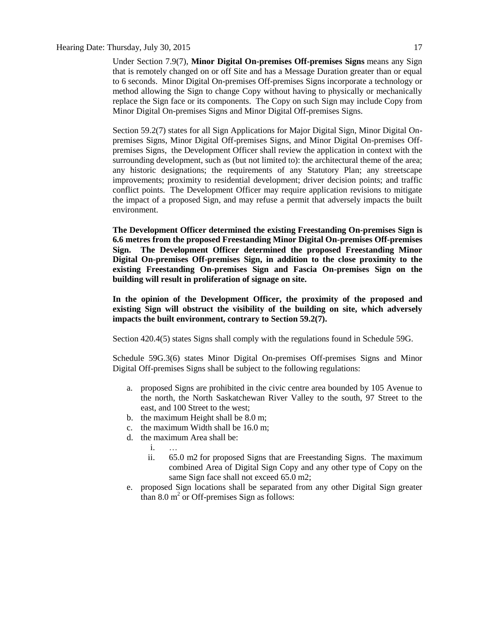#### Hearing Date: Thursday, July 30, 2015 17

Under Section 7.9(7), **Minor Digital On-premises Off-premises Signs** means any Sign that is remotely changed on or off Site and has a Message Duration greater than or equal to 6 seconds. Minor Digital On-premises Off-premises Signs incorporate a technology or method allowing the Sign to change Copy without having to physically or mechanically replace the Sign face or its components. The Copy on such Sign may include Copy from Minor Digital On-premises Signs and Minor Digital Off-premises Signs.

Section 59.2(7) states for all Sign Applications for Major Digital Sign, Minor Digital Onpremises Signs, Minor Digital Off-premises Signs, and Minor Digital On-premises Offpremises Signs, the Development Officer shall review the application in context with the surrounding development, such as (but not limited to): the architectural theme of the area; any historic designations; the requirements of any Statutory Plan; any streetscape improvements; proximity to residential development; driver decision points; and traffic conflict points. The Development Officer may require application revisions to mitigate the impact of a proposed Sign, and may refuse a permit that adversely impacts the built environment.

**The Development Officer determined the existing Freestanding On-premises Sign is 6.6 metres from the proposed Freestanding Minor Digital On-premises Off-premises Sign. The Development Officer determined the proposed Freestanding Minor Digital On-premises Off-premises Sign, in addition to the close proximity to the existing Freestanding On-premises Sign and Fascia On-premises Sign on the building will result in proliferation of signage on site.**

**In the opinion of the Development Officer, the proximity of the proposed and existing Sign will obstruct the visibility of the building on site, which adversely impacts the built environment, contrary to Section 59.2(7).**

Section 420.4(5) states Signs shall comply with the regulations found in Schedule 59G.

Schedule 59G.3(6) states Minor Digital On-premises Off-premises Signs and Minor Digital Off-premises Signs shall be subject to the following regulations:

- a. proposed Signs are prohibited in the civic centre area bounded by 105 Avenue to the north, the North Saskatchewan River Valley to the south, 97 Street to the east, and 100 Street to the west;
- b. the maximum Height shall be [8.0 m;](javascript:void(0);)
- c. the maximum Width shall be [16.0 m;](javascript:void(0);)
- d. the maximum Area shall be:
	- i. …
	- ii. [65.0 m2](javascript:void(0);) for proposed Signs that are Freestanding Signs. The maximum combined Area of Digital Sign Copy and any other type of Copy on the same Sign face shall not exceed [65.0 m2;](javascript:void(0);)
- e. proposed Sign locations shall be separated from any other Digital Sign greater than  $8.0 \text{ m}^2$  or Off-premises Sign as follows: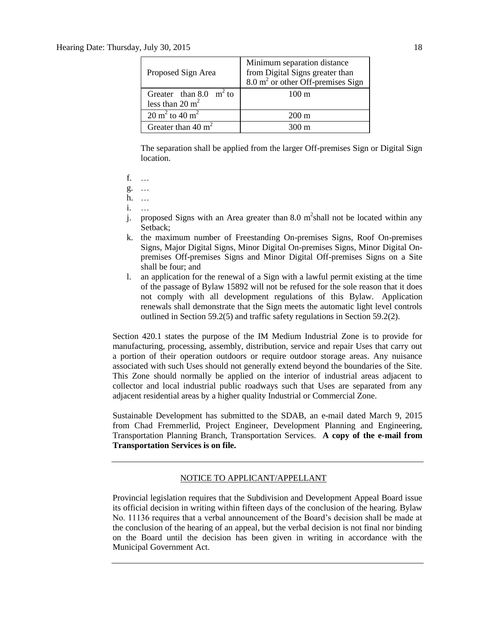| Proposed Sign Area                                      | Minimum separation distance<br>from Digital Signs greater than<br>8.0 m <sup>2</sup> or other Off-premises Sign |
|---------------------------------------------------------|-----------------------------------------------------------------------------------------------------------------|
| Greater than 8.0 $m^2$ to<br>less than $20 \text{ m}^2$ | $100 \text{ m}$                                                                                                 |
| $20 \text{ m}^2$ to $40 \text{ m}^2$                    | $200 \text{ m}$                                                                                                 |
| Greater than 40 $m2$                                    | $300 \text{ m}$                                                                                                 |

The separation shall be applied from the larger Off-premises Sign or Digital Sign location.

f. …

g. …

h. …

- i. …
- j. proposed Signs with an Area greater than 8.0  $m^2$ shall not be located within any Setback;
- k. the maximum number of Freestanding On-premises Signs, Roof On-premises Signs, Major Digital Signs, Minor Digital On-premises Signs, Minor Digital Onpremises Off-premises Signs and Minor Digital Off-premises Signs on a Site shall be four; and
- l. an application for the renewal of a Sign with a lawful permit existing at the time of the passage of Bylaw 15892 will not be refused for the sole reason that it does not comply with all development regulations of this Bylaw. Application renewals shall demonstrate that the Sign meets the automatic light level controls outlined in Section 59.2(5) and traffic safety regulations in Section 59.2(2).

Section 420.1 states the purpose of the IM Medium Industrial Zone is to provide for manufacturing, processing, assembly, distribution, service and repair Uses that carry out a portion of their operation outdoors or require outdoor storage areas. Any nuisance associated with such Uses should not generally extend beyond the boundaries of the Site. This Zone should normally be applied on the interior of industrial areas adjacent to collector and local industrial public roadways such that Uses are separated from any adjacent residential areas by a higher quality Industrial or Commercial Zone.

Sustainable Development has submitted to the SDAB, an e-mail dated March 9, 2015 from Chad Fremmerlid, Project Engineer, Development Planning and Engineering, Transportation Planning Branch, Transportation Services. **A copy of the e-mail from Transportation Services is on file.**

### NOTICE TO APPLICANT/APPELLANT

Provincial legislation requires that the Subdivision and Development Appeal Board issue its official decision in writing within fifteen days of the conclusion of the hearing. Bylaw No. 11136 requires that a verbal announcement of the Board's decision shall be made at the conclusion of the hearing of an appeal, but the verbal decision is not final nor binding on the Board until the decision has been given in writing in accordance with the Municipal Government Act.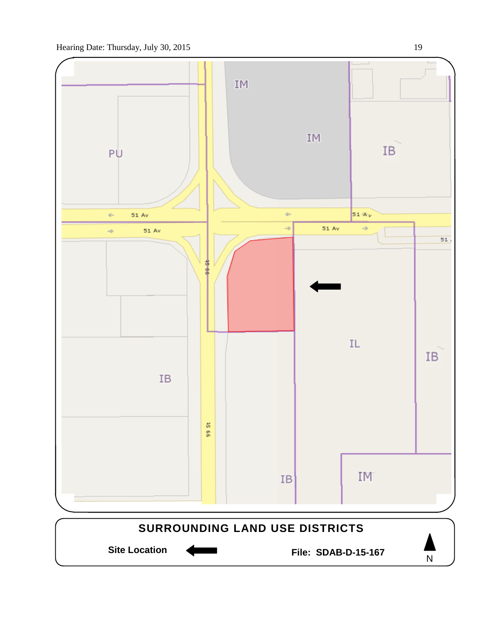